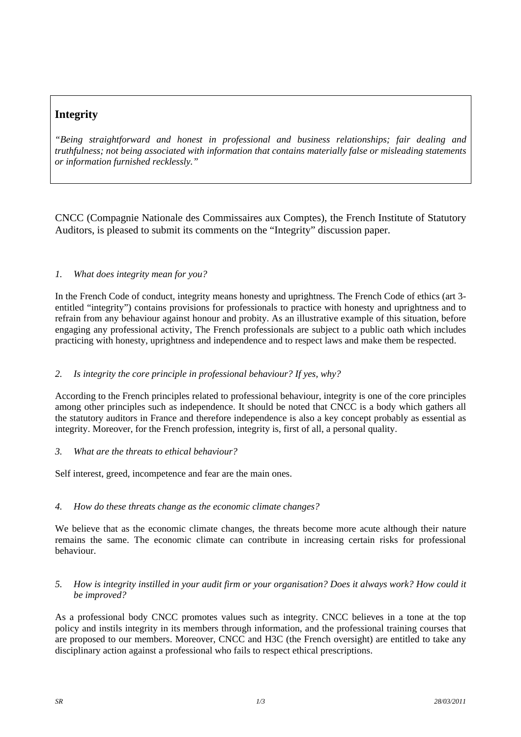## **Integrity**

*"Being straightforward and honest in professional and business relationships; fair dealing and truthfulness; not being associated with information that contains materially false or misleading statements or information furnished recklessly."*

CNCC (Compagnie Nationale des Commissaires aux Comptes), the French Institute of Statutory Auditors, is pleased to submit its comments on the "Integrity" discussion paper.

## *1. What does integrity mean for you?*

In the French Code of conduct, integrity means honesty and uprightness. The French Code of ethics (art 3 entitled "integrity") contains provisions for professionals to practice with honesty and uprightness and to refrain from any behaviour against honour and probity. As an illustrative example of this situation, before engaging any professional activity, The French professionals are subject to a public oath which includes practicing with honesty, uprightness and independence and to respect laws and make them be respected.

## *2. Is integrity the core principle in professional behaviour? If yes, why?*

According to the French principles related to professional behaviour, integrity is one of the core principles among other principles such as independence. It should be noted that CNCC is a body which gathers all the statutory auditors in France and therefore independence is also a key concept probably as essential as integrity. Moreover, for the French profession, integrity is, first of all, a personal quality.

*3. What are the threats to ethical behaviour?* 

Self interest, greed, incompetence and fear are the main ones.

## *4. How do these threats change as the economic climate changes?*

We believe that as the economic climate changes, the threats become more acute although their nature remains the same. The economic climate can contribute in increasing certain risks for professional behaviour.

*5. How is integrity instilled in your audit firm or your organisation? Does it always work? How could it be improved?* 

As a professional body CNCC promotes values such as integrity. CNCC believes in a tone at the top policy and instils integrity in its members through information, and the professional training courses that are proposed to our members. Moreover, CNCC and H3C (the French oversight) are entitled to take any disciplinary action against a professional who fails to respect ethical prescriptions.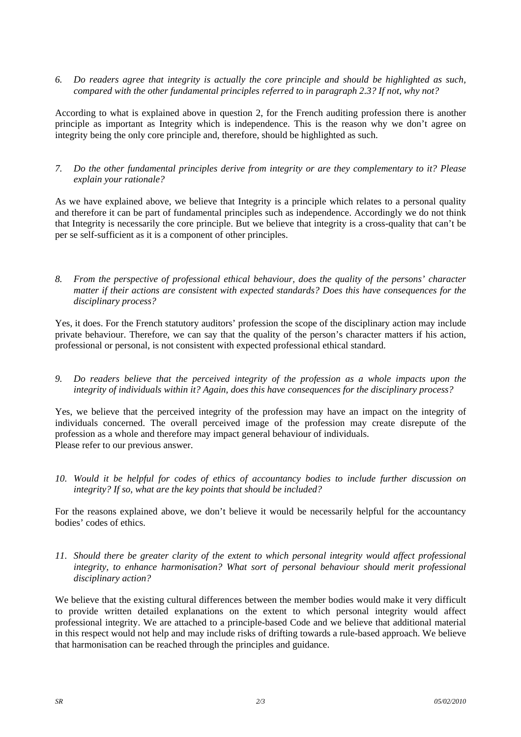*6. Do readers agree that integrity is actually the core principle and should be highlighted as such, compared with the other fundamental principles referred to in paragraph 2.3? If not, why not?* 

According to what is explained above in question 2, for the French auditing profession there is another principle as important as Integrity which is independence. This is the reason why we don't agree on integrity being the only core principle and, therefore, should be highlighted as such.

*7. Do the other fundamental principles derive from integrity or are they complementary to it? Please explain your rationale?* 

As we have explained above, we believe that Integrity is a principle which relates to a personal quality and therefore it can be part of fundamental principles such as independence. Accordingly we do not think that Integrity is necessarily the core principle. But we believe that integrity is a cross-quality that can't be per se self-sufficient as it is a component of other principles.

*8. From the perspective of professional ethical behaviour, does the quality of the persons' character matter if their actions are consistent with expected standards? Does this have consequences for the disciplinary process?* 

Yes, it does. For the French statutory auditors' profession the scope of the disciplinary action may include private behaviour. Therefore, we can say that the quality of the person's character matters if his action, professional or personal, is not consistent with expected professional ethical standard.

*9. Do readers believe that the perceived integrity of the profession as a whole impacts upon the integrity of individuals within it? Again, does this have consequences for the disciplinary process?* 

Yes, we believe that the perceived integrity of the profession may have an impact on the integrity of individuals concerned. The overall perceived image of the profession may create disrepute of the profession as a whole and therefore may impact general behaviour of individuals. Please refer to our previous answer.

*10. Would it be helpful for codes of ethics of accountancy bodies to include further discussion on integrity? If so, what are the key points that should be included?* 

For the reasons explained above, we don't believe it would be necessarily helpful for the accountancy bodies' codes of ethics.

*11. Should there be greater clarity of the extent to which personal integrity would affect professional integrity, to enhance harmonisation? What sort of personal behaviour should merit professional disciplinary action?* 

We believe that the existing cultural differences between the member bodies would make it very difficult to provide written detailed explanations on the extent to which personal integrity would affect professional integrity. We are attached to a principle-based Code and we believe that additional material in this respect would not help and may include risks of drifting towards a rule-based approach. We believe that harmonisation can be reached through the principles and guidance.